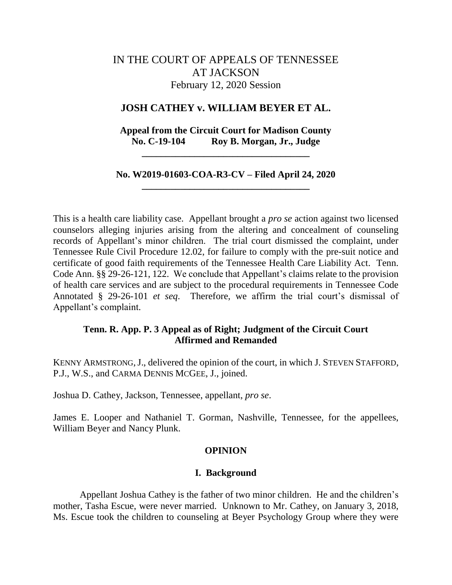# IN THE COURT OF APPEALS OF TENNESSEE AT JACKSON February 12, 2020 Session

## **JOSH CATHEY v. WILLIAM BEYER ET AL.**

## **Appeal from the Circuit Court for Madison County No. C-19-104 Roy B. Morgan, Jr., Judge**

**\_\_\_\_\_\_\_\_\_\_\_\_\_\_\_\_\_\_\_\_\_\_\_\_\_\_\_\_\_\_\_\_\_\_\_**

## **No. W2019-01603-COA-R3-CV – Filed April 24, 2020 \_\_\_\_\_\_\_\_\_\_\_\_\_\_\_\_\_\_\_\_\_\_\_\_\_\_\_\_\_\_\_\_\_\_\_**

This is a health care liability case. Appellant brought a *pro se* action against two licensed counselors alleging injuries arising from the altering and concealment of counseling records of Appellant's minor children. The trial court dismissed the complaint, under Tennessee Rule Civil Procedure 12.02, for failure to comply with the pre-suit notice and certificate of good faith requirements of the Tennessee Health Care Liability Act. Tenn. Code Ann. §§ 29-26-121, 122. We conclude that Appellant's claims relate to the provision of health care services and are subject to the procedural requirements in Tennessee Code Annotated § 29-26-101 *et seq*. Therefore, we affirm the trial court's dismissal of Appellant's complaint.

## **Tenn. R. App. P. 3 Appeal as of Right; Judgment of the Circuit Court Affirmed and Remanded**

KENNY ARMSTRONG,J., delivered the opinion of the court, in which J. STEVEN STAFFORD, P.J., W.S., and CARMA DENNIS MCGEE, J., joined.

Joshua D. Cathey, Jackson, Tennessee, appellant, *pro se*.

James E. Looper and Nathaniel T. Gorman, Nashville, Tennessee, for the appellees, William Beyer and Nancy Plunk.

## **OPINION**

#### **I. Background**

Appellant Joshua Cathey is the father of two minor children. He and the children's mother, Tasha Escue, were never married. Unknown to Mr. Cathey, on January 3, 2018, Ms. Escue took the children to counseling at Beyer Psychology Group where they were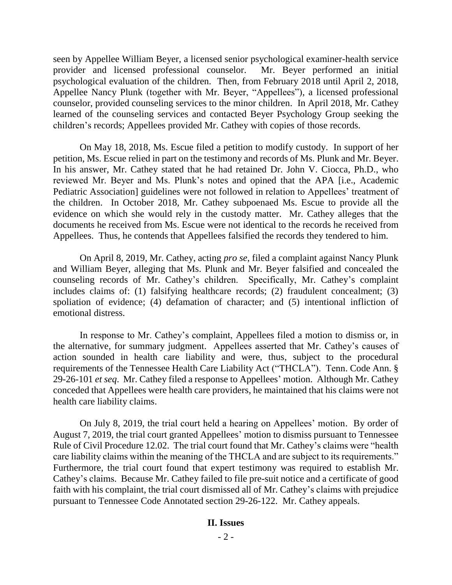seen by Appellee William Beyer, a licensed senior psychological examiner-health service provider and licensed professional counselor. Mr. Beyer performed an initial psychological evaluation of the children. Then, from February 2018 until April 2, 2018, Appellee Nancy Plunk (together with Mr. Beyer, "Appellees"), a licensed professional counselor, provided counseling services to the minor children. In April 2018, Mr. Cathey learned of the counseling services and contacted Beyer Psychology Group seeking the children's records; Appellees provided Mr. Cathey with copies of those records.

On May 18, 2018, Ms. Escue filed a petition to modify custody. In support of her petition, Ms. Escue relied in part on the testimony and records of Ms. Plunk and Mr. Beyer. In his answer, Mr. Cathey stated that he had retained Dr. John V. Ciocca, Ph.D., who reviewed Mr. Beyer and Ms. Plunk's notes and opined that the APA [i.e., Academic Pediatric Association] guidelines were not followed in relation to Appellees' treatment of the children. In October 2018, Mr. Cathey subpoenaed Ms. Escue to provide all the evidence on which she would rely in the custody matter. Mr. Cathey alleges that the documents he received from Ms. Escue were not identical to the records he received from Appellees. Thus, he contends that Appellees falsified the records they tendered to him.

On April 8, 2019, Mr. Cathey, acting *pro se*, filed a complaint against Nancy Plunk and William Beyer, alleging that Ms. Plunk and Mr. Beyer falsified and concealed the counseling records of Mr. Cathey's children. Specifically, Mr. Cathey's complaint includes claims of: (1) falsifying healthcare records; (2) fraudulent concealment; (3) spoliation of evidence; (4) defamation of character; and (5) intentional infliction of emotional distress.

In response to Mr. Cathey's complaint, Appellees filed a motion to dismiss or, in the alternative, for summary judgment. Appellees asserted that Mr. Cathey's causes of action sounded in health care liability and were, thus, subject to the procedural requirements of the Tennessee Health Care Liability Act ("THCLA"). Tenn. Code Ann. § 29-26-101 *et seq*. Mr. Cathey filed a response to Appellees' motion. Although Mr. Cathey conceded that Appellees were health care providers, he maintained that his claims were not health care liability claims.

On July 8, 2019, the trial court held a hearing on Appellees' motion. By order of August 7, 2019, the trial court granted Appellees' motion to dismiss pursuant to Tennessee Rule of Civil Procedure 12.02. The trial court found that Mr. Cathey's claims were "health care liability claims within the meaning of the THCLA and are subject to its requirements." Furthermore, the trial court found that expert testimony was required to establish Mr. Cathey's claims. Because Mr. Cathey failed to file pre-suit notice and a certificate of good faith with his complaint, the trial court dismissed all of Mr. Cathey's claims with prejudice pursuant to Tennessee Code Annotated section 29-26-122. Mr. Cathey appeals.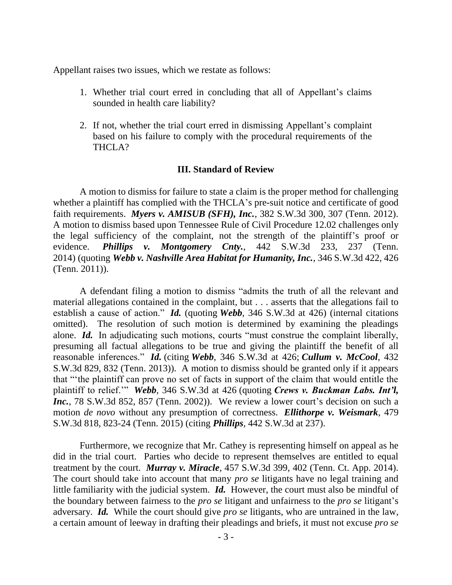Appellant raises two issues, which we restate as follows:

- 1. Whether trial court erred in concluding that all of Appellant's claims sounded in health care liability?
- 2. If not, whether the trial court erred in dismissing Appellant's complaint based on his failure to comply with the procedural requirements of the THCLA?

## **III. Standard of Review**

A motion to dismiss for failure to state a claim is the proper method for challenging whether a plaintiff has complied with the THCLA's pre-suit notice and certificate of good faith requirements. *Myers v. AMISUB (SFH), Inc.*, 382 S.W.3d 300, 307 (Tenn. 2012). A motion to dismiss based upon Tennessee Rule of Civil Procedure 12.02 challenges only the legal sufficiency of the complaint, not the strength of the plaintiff's proof or evidence. *Phillips v. Montgomery Cnty.*, 442 S.W.3d 233, 237 (Tenn. 2014) (quoting *Webb v. Nashville Area Habitat for Humanity, Inc.*, 346 S.W.3d 422, 426 (Tenn. 2011)).

A defendant filing a motion to dismiss "admits the truth of all the relevant and material allegations contained in the complaint, but . . . asserts that the allegations fail to establish a cause of action." *Id.* (quoting *Webb*, 346 S.W.3d at 426) (internal citations omitted). The resolution of such motion is determined by examining the pleadings alone. *Id.* In adjudicating such motions, courts "must construe the complaint liberally, presuming all factual allegations to be true and giving the plaintiff the benefit of all reasonable inferences." *Id.* (citing *Webb*, 346 S.W.3d at 426; *Cullum v. McCool*, 432 S.W.3d 829, 832 (Tenn. 2013)). A motion to dismiss should be granted only if it appears that "'the plaintiff can prove no set of facts in support of the claim that would entitle the plaintiff to relief.'" *Webb*, 346 S.W.3d at 426 (quoting *Crews v. Buckman Labs. Int'l, Inc.*, 78 S.W.3d 852, 857 (Tenn. 2002)). We review a lower court's decision on such a motion *de novo* without any presumption of correctness. *Ellithorpe v. Weismark*, 479 S.W.3d 818, 823-24 (Tenn. 2015) (citing *Phillips*, 442 S.W.3d at 237).

Furthermore, we recognize that Mr. Cathey is representing himself on appeal as he did in the trial court. Parties who decide to represent themselves are entitled to equal treatment by the court. *Murray v. Miracle*, 457 S.W.3d 399, 402 (Tenn. Ct. App. 2014). The court should take into account that many *pro se* litigants have no legal training and little familiarity with the judicial system. *Id.* However, the court must also be mindful of the boundary between fairness to the *pro se* litigant and unfairness to the *pro se* litigant's adversary. *Id.* While the court should give *pro se* litigants, who are untrained in the law, a certain amount of leeway in drafting their pleadings and briefs, it must not excuse *pro se*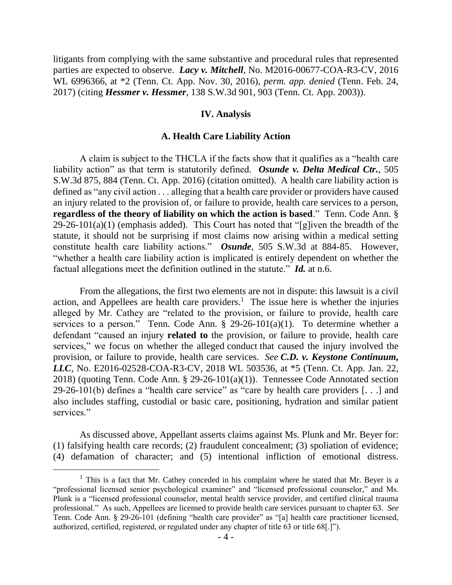litigants from complying with the same substantive and procedural rules that represented parties are expected to observe. *Lacy v. Mitchell*, No. M2016-00677-COA-R3-CV, 2016 WL 6996366, at \*2 (Tenn. Ct. App. Nov. 30, 2016), *perm. app. denied* (Tenn. Feb. 24, 2017) (citing *Hessmer v. Hessmer*, 138 S.W.3d 901, 903 (Tenn. Ct. App. 2003)).

## **IV. Analysis**

#### **A. Health Care Liability Action**

A claim is subject to the THCLA if the facts show that it qualifies as a "health care liability action" as that term is statutorily defined. *Osunde v. Delta Medical Ctr.*, 505 S.W.3d 875, 884 (Tenn. Ct. App. 2016) (citation omitted). A health care liability action is defined as "any civil action . . . alleging that a health care provider or providers have caused an injury related to the provision of, or failure to provide, health care services to a person, **regardless of the theory of liability on which the action is based**." Tenn. Code Ann. §  $29-26-101(a)(1)$  (emphasis added). This Court has noted that "[g]iven the breadth of the statute, it should not be surprising if most claims now arising within a medical setting constitute health care liability actions." *Osunde*, 505 S.W.3d at 884-85. However, "whether a health care liability action is implicated is entirely dependent on whether the factual allegations meet the definition outlined in the statute." *Id.* at n.6.

From the allegations, the first two elements are not in dispute: this lawsuit is a civil action, and Appellees are health care providers.<sup>1</sup> The issue here is whether the injuries alleged by Mr. Cathey are "related to the provision, or failure to provide, health care services to a person." Tenn. Code Ann.  $\S$  29-26-101(a)(1). To determine whether a defendant "caused an injury **related to** the provision, or failure to provide, health care services," we focus on whether the alleged conduct that caused the injury involved the provision, or failure to provide, health care services. *See C.D. v. Keystone Continuum, LLC*, No. E2016-02528-COA-R3-CV, 2018 WL 503536, at \*5 (Tenn. Ct. App. Jan. 22, 2018) (quoting Tenn. Code Ann. § 29-26-101(a)(1)). Tennessee Code Annotated section 29-26-101(b) defines a "health care service" as "care by health care providers [. . .] and also includes staffing, custodial or basic care, positioning, hydration and similar patient services."

As discussed above, Appellant asserts claims against Ms. Plunk and Mr. Beyer for: (1) falsifying health care records; (2) fraudulent concealment; (3) spoliation of evidence; (4) defamation of character; and (5) intentional infliction of emotional distress.

 $<sup>1</sup>$  This is a fact that Mr. Cathey conceded in his complaint where he stated that Mr. Beyer is a</sup> "professional licensed senior psychological examiner" and "licensed professional counselor," and Ms. Plunk is a "licensed professional counselor, mental health service provider, and certified clinical trauma professional." As such, Appellees are licensed to provide health care services pursuant to chapter 63. *See* Tenn. Code Ann. § 29-26-101 (defining "health care provider" as "[a] health care practitioner licensed, authorized, certified, registered, or regulated under any chapter of title 63 or title 68[.]").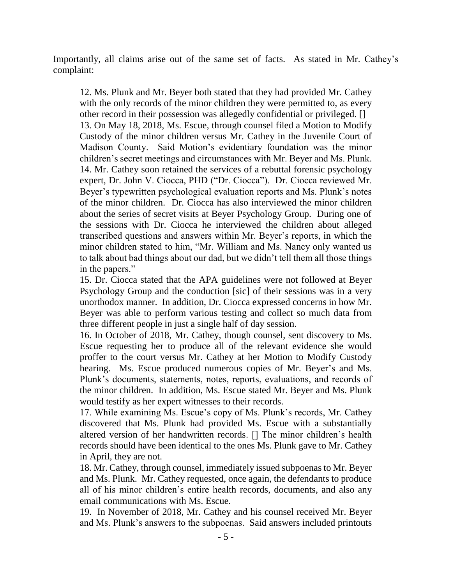Importantly, all claims arise out of the same set of facts. As stated in Mr. Cathey's complaint:

12. Ms. Plunk and Mr. Beyer both stated that they had provided Mr. Cathey with the only records of the minor children they were permitted to, as every other record in their possession was allegedly confidential or privileged. [] 13. On May 18, 2018, Ms. Escue, through counsel filed a Motion to Modify Custody of the minor children versus Mr. Cathey in the Juvenile Court of Madison County. Said Motion's evidentiary foundation was the minor children's secret meetings and circumstances with Mr. Beyer and Ms. Plunk. 14. Mr. Cathey soon retained the services of a rebuttal forensic psychology expert, Dr. John V. Ciocca, PHD ("Dr. Ciocca"). Dr. Ciocca reviewed Mr. Beyer's typewritten psychological evaluation reports and Ms. Plunk's notes of the minor children. Dr. Ciocca has also interviewed the minor children about the series of secret visits at Beyer Psychology Group. During one of the sessions with Dr. Ciocca he interviewed the children about alleged transcribed questions and answers within Mr. Beyer's reports, in which the minor children stated to him, "Mr. William and Ms. Nancy only wanted us to talk about bad things about our dad, but we didn't tell them all those things in the papers."

15. Dr. Ciocca stated that the APA guidelines were not followed at Beyer Psychology Group and the conduction [sic] of their sessions was in a very unorthodox manner. In addition, Dr. Ciocca expressed concerns in how Mr. Beyer was able to perform various testing and collect so much data from three different people in just a single half of day session.

16. In October of 2018, Mr. Cathey, though counsel, sent discovery to Ms. Escue requesting her to produce all of the relevant evidence she would proffer to the court versus Mr. Cathey at her Motion to Modify Custody hearing. Ms. Escue produced numerous copies of Mr. Beyer's and Ms. Plunk's documents, statements, notes, reports, evaluations, and records of the minor children. In addition, Ms. Escue stated Mr. Beyer and Ms. Plunk would testify as her expert witnesses to their records.

17. While examining Ms. Escue's copy of Ms. Plunk's records, Mr. Cathey discovered that Ms. Plunk had provided Ms. Escue with a substantially altered version of her handwritten records. [] The minor children's health records should have been identical to the ones Ms. Plunk gave to Mr. Cathey in April, they are not.

18. Mr. Cathey, through counsel, immediately issued subpoenas to Mr. Beyer and Ms. Plunk. Mr. Cathey requested, once again, the defendants to produce all of his minor children's entire health records, documents, and also any email communications with Ms. Escue.

19. In November of 2018, Mr. Cathey and his counsel received Mr. Beyer and Ms. Plunk's answers to the subpoenas. Said answers included printouts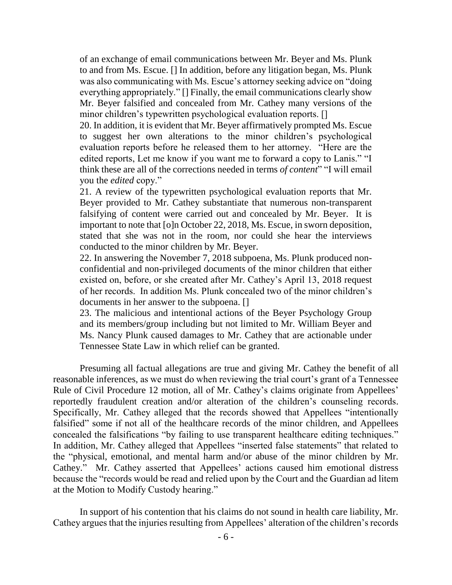of an exchange of email communications between Mr. Beyer and Ms. Plunk to and from Ms. Escue. [] In addition, before any litigation began, Ms. Plunk was also communicating with Ms. Escue's attorney seeking advice on "doing everything appropriately." [] Finally, the email communications clearly show Mr. Beyer falsified and concealed from Mr. Cathey many versions of the minor children's typewritten psychological evaluation reports. []

20. In addition, it is evident that Mr. Beyer affirmatively prompted Ms. Escue to suggest her own alterations to the minor children's psychological evaluation reports before he released them to her attorney. "Here are the edited reports, Let me know if you want me to forward a copy to Lanis." "I think these are all of the corrections needed in terms *of content*" "I will email you the *edited* copy."

21. A review of the typewritten psychological evaluation reports that Mr. Beyer provided to Mr. Cathey substantiate that numerous non-transparent falsifying of content were carried out and concealed by Mr. Beyer. It is important to note that [o]n October 22, 2018, Ms. Escue, in sworn deposition, stated that she was not in the room, nor could she hear the interviews conducted to the minor children by Mr. Beyer.

22. In answering the November 7, 2018 subpoena, Ms. Plunk produced nonconfidential and non-privileged documents of the minor children that either existed on, before, or she created after Mr. Cathey's April 13, 2018 request of her records. In addition Ms. Plunk concealed two of the minor children's documents in her answer to the subpoena. []

23. The malicious and intentional actions of the Beyer Psychology Group and its members/group including but not limited to Mr. William Beyer and Ms. Nancy Plunk caused damages to Mr. Cathey that are actionable under Tennessee State Law in which relief can be granted.

Presuming all factual allegations are true and giving Mr. Cathey the benefit of all reasonable inferences, as we must do when reviewing the trial court's grant of a Tennessee Rule of Civil Procedure 12 motion, all of Mr. Cathey's claims originate from Appellees' reportedly fraudulent creation and/or alteration of the children's counseling records. Specifically, Mr. Cathey alleged that the records showed that Appellees "intentionally falsified" some if not all of the healthcare records of the minor children, and Appellees concealed the falsifications "by failing to use transparent healthcare editing techniques." In addition, Mr. Cathey alleged that Appellees "inserted false statements" that related to the "physical, emotional, and mental harm and/or abuse of the minor children by Mr. Cathey." Mr. Cathey asserted that Appellees' actions caused him emotional distress because the "records would be read and relied upon by the Court and the Guardian ad litem at the Motion to Modify Custody hearing."

In support of his contention that his claims do not sound in health care liability, Mr. Cathey argues that the injuries resulting from Appellees' alteration of the children's records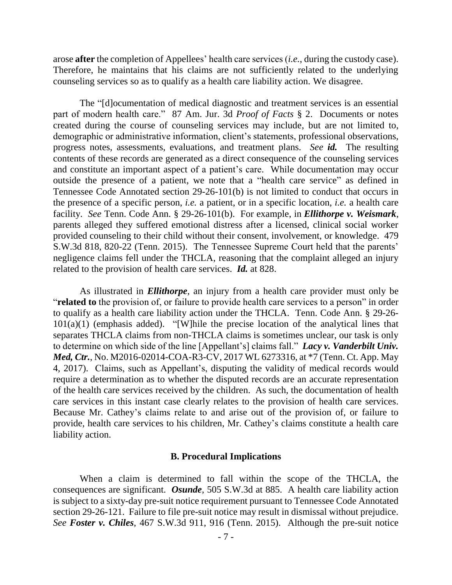arose **after** the completion of Appellees' health care services (*i.e.*, during the custody case). Therefore, he maintains that his claims are not sufficiently related to the underlying counseling services so as to qualify as a health care liability action. We disagree.

The "[d]ocumentation of medical diagnostic and treatment services is an essential part of modern health care." 87 Am. Jur. 3d *Proof of Facts* § 2. Documents or notes created during the course of counseling services may include, but are not limited to, demographic or administrative information, client's statements, professional observations, progress notes, assessments, evaluations, and treatment plans. *See id.* The resulting contents of these records are generated as a direct consequence of the counseling services and constitute an important aspect of a patient's care. While documentation may occur outside the presence of a patient, we note that a "health care service" as defined in Tennessee Code Annotated section 29-26-101(b) is not limited to conduct that occurs in the presence of a specific person, *i.e.* a patient, or in a specific location, *i.e.* a health care facility. *See* Tenn. Code Ann. § 29-26-101(b). For example, in *Ellithorpe v. Weismark*, parents alleged they suffered emotional distress after a licensed, clinical social worker provided counseling to their child without their consent, involvement, or knowledge. 479 S.W.3d 818, 820-22 (Tenn. 2015). The Tennessee Supreme Court held that the parents' negligence claims fell under the THCLA, reasoning that the complaint alleged an injury related to the provision of health care services. *Id.* at 828.

As illustrated in *Ellithorpe*, an injury from a health care provider must only be "**related to** the provision of, or failure to provide health care services to a person" in order to qualify as a health care liability action under the THCLA. Tenn. Code Ann. § 29-26- 101(a)(1) (emphasis added). "[W]hile the precise location of the analytical lines that separates THCLA claims from non-THCLA claims is sometimes unclear, our task is only to determine on which side of the line [Appellant's] claims fall." *Lacy v. Vanderbilt Univ. Med, Ctr.*, No. M2016-02014-COA-R3-CV, 2017 WL 6273316, at \*7 (Tenn. Ct. App. May 4, 2017). Claims, such as Appellant's, disputing the validity of medical records would require a determination as to whether the disputed records are an accurate representation of the health care services received by the children. As such, the documentation of health care services in this instant case clearly relates to the provision of health care services. Because Mr. Cathey's claims relate to and arise out of the provision of, or failure to provide, health care services to his children, Mr. Cathey's claims constitute a health care liability action.

## **B. Procedural Implications**

When a claim is determined to fall within the scope of the THCLA, the consequences are significant. *Osunde*, 505 S.W.3d at 885. A health care liability action is subject to a sixty-day pre-suit notice requirement pursuant to Tennessee Code Annotated section 29-26-121. Failure to file pre-suit notice may result in dismissal without prejudice. *See Foster v. Chiles*, 467 S.W.3d 911, 916 (Tenn. 2015). Although the pre-suit notice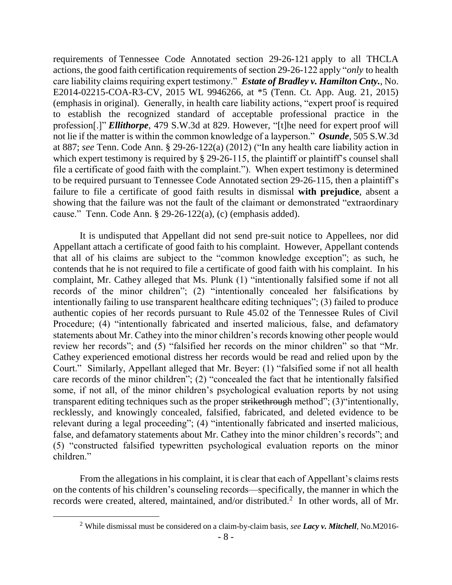requirements of Tennessee Code Annotated section 29-26-121 apply to all THCLA actions, the good faith certification requirements of section 29-26-122 apply "*only* to health care liability claims requiring expert testimony." *Estate of Bradley v. Hamilton Cnty.*, No. E2014-02215-COA-R3-CV, 2015 WL 9946266, at \*5 (Tenn. Ct. App. Aug. 21, 2015) (emphasis in original). Generally, in health care liability actions, "expert proof is required to establish the recognized standard of acceptable professional practice in the profession[.]" *Ellithorpe*, 479 S.W.3d at 829. However, "[t]he need for expert proof will not lie if the matter is within the common knowledge of a layperson." *Osunde*, 505 S.W.3d at 887; *see* Tenn. Code Ann. § 29-26-122(a) (2012) ("In any health care liability action in which expert testimony is required by § 29-26-115, the plaintiff or plaintiff's counsel shall file a certificate of good faith with the complaint."). When expert testimony is determined to be required pursuant to Tennessee Code Annotated section 29-26-115, then a plaintiff's failure to file a certificate of good faith results in dismissal **with prejudice**, absent a showing that the failure was not the fault of the claimant or demonstrated "extraordinary cause." Tenn. Code Ann. § 29-26-122(a), (c) (emphasis added).

It is undisputed that Appellant did not send pre-suit notice to Appellees, nor did Appellant attach a certificate of good faith to his complaint. However, Appellant contends that all of his claims are subject to the "common knowledge exception"; as such, he contends that he is not required to file a certificate of good faith with his complaint. In his complaint, Mr. Cathey alleged that Ms. Plunk (1) "intentionally falsified some if not all records of the minor children"; (2) "intentionally concealed her falsifications by intentionally failing to use transparent healthcare editing techniques"; (3) failed to produce authentic copies of her records pursuant to Rule 45.02 of the Tennessee Rules of Civil Procedure; (4) "intentionally fabricated and inserted malicious, false, and defamatory statements about Mr. Cathey into the minor children's records knowing other people would review her records"; and (5) "falsified her records on the minor children" so that "Mr. Cathey experienced emotional distress her records would be read and relied upon by the Court." Similarly, Appellant alleged that Mr. Beyer: (1) "falsified some if not all health care records of the minor children"; (2) "concealed the fact that he intentionally falsified some, if not all, of the minor children's psychological evaluation reports by not using transparent editing techniques such as the proper strikethrough method"; (3) "intentionally, recklessly, and knowingly concealed, falsified, fabricated, and deleted evidence to be relevant during a legal proceeding"; (4) "intentionally fabricated and inserted malicious, false, and defamatory statements about Mr. Cathey into the minor children's records"; and (5) "constructed falsified typewritten psychological evaluation reports on the minor children."

From the allegations in his complaint, it is clear that each of Appellant's claims rests on the contents of his children's counseling records—specifically, the manner in which the records were created, altered, maintained, and/or distributed.<sup>2</sup> In other words, all of Mr.

 $\overline{a}$ 

<sup>2</sup> While dismissal must be considered on a claim-by-claim basis, *see Lacy v. Mitchell*, No.M2016-